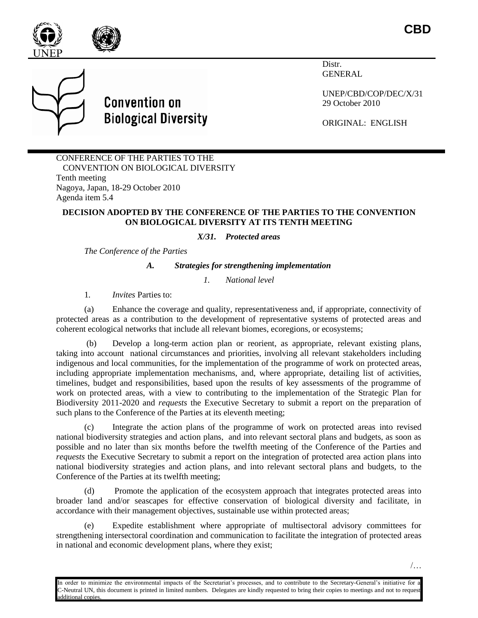

**CBD**



**Convention on Biological Diversity** 

Distr. GENERAL

UNEP/CBD/COP/DEC/X/31 29 October 2010

ORIGINAL: ENGLISH

CONFERENCE OF THE PARTIES TO THE CONVENTION ON BIOLOGICAL DIVERSITY Tenth meeting Nagoya, Japan, 18-29 October 2010 Agenda item 5.4

## **DECISION ADOPTED BY THE CONFERENCE OF THE PARTIES TO THE CONVENTION ON BIOLOGICAL DIVERSITY AT ITS TENTH MEETING**

*X/31. Protected areas*

*The Conference of the Parties*

*A. Strategies for strengthening implementation*

*1. National level*

1*. Invites* Parties to:

(a) Enhance the coverage and quality, representativeness and, if appropriate, connectivity of protected areas as a contribution to the development of representative systems of protected areas and coherent ecological networks that include all relevant biomes, ecoregions, or ecosystems;

Develop a long-term action plan or reorient, as appropriate, relevant existing plans, taking into account national circumstances and priorities, involving all relevant stakeholders including indigenous and local communities, for the implementation of the programme of work on protected areas, including appropriate implementation mechanisms, and, where appropriate, detailing list of activities, timelines, budget and responsibilities, based upon the results of key assessments of the programme of work on protected areas, with a view to contributing to the implementation of the Strategic Plan for Biodiversity 2011-2020 and *requests* the Executive Secretary to submit a report on the preparation of such plans to the Conference of the Parties at its eleventh meeting;

(c) Integrate the action plans of the programme of work on protected areas into revised national biodiversity strategies and action plans, and into relevant sectoral plans and budgets, as soon as possible and no later than six months before the twelfth meeting of the Conference of the Parties and *requests* the Executive Secretary to submit a report on the integration of protected area action plans into national biodiversity strategies and action plans, and into relevant sectoral plans and budgets, to the Conference of the Parties at its twelfth meeting;

(d) Promote the application of the ecosystem approach that integrates protected areas into broader land and/or seascapes for effective conservation of biological diversity and facilitate, in accordance with their management objectives, sustainable use within protected areas;

(e) Expedite establishment where appropriate of multisectoral advisory committees for strengthening intersectoral coordination and communication to facilitate the integration of protected areas in national and economic development plans, where they exist;

/…

In order to minimize the environmental impacts of the Secretariat's processes, and to contribute to the Secretary-General's initiative for a C-Neutral UN, this document is printed in limited numbers. Delegates are kindly requested to bring their copies to meetings and not to request additional copies.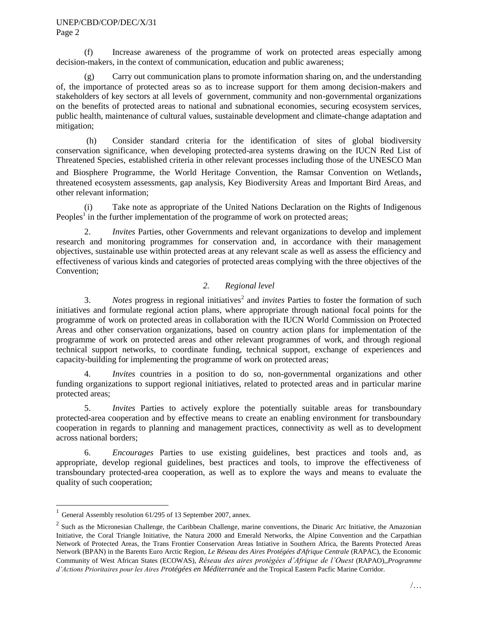(f) Increase awareness of the programme of work on protected areas especially among decision-makers, in the context of communication, education and public awareness;

(g) Carry out communication plans to promote information sharing on, and the understanding of, the importance of protected areas so as to increase support for them among decision-makers and stakeholders of key sectors at all levels of government, community and non-governmental organizations on the benefits of protected areas to national and subnational economies, securing ecosystem services, public health, maintenance of cultural values, sustainable development and climate-change adaptation and mitigation;

(h) Consider standard criteria for the identification of sites of global biodiversity conservation significance, when developing protected-area systems drawing on the IUCN Red List of Threatened Species, established criteria in other relevant processes including those of the UNESCO Man and Biosphere Programme, the World Heritage Convention, the Ramsar Convention on Wetlands, threatened ecosystem assessments, gap analysis, Key Biodiversity Areas and Important Bird Areas, and other relevant information;

(i) Take note as appropriate of the United Nations Declaration on the Rights of Indigenous Peoples<sup>1</sup> in the further implementation of the programme of work on protected areas;

2. *Invites* Parties, other Governments and relevant organizations to develop and implement research and monitoring programmes for conservation and, in accordance with their management objectives, sustainable use within protected areas at any relevant scale as well as assess the efficiency and effectiveness of various kinds and categories of protected areas complying with the three objectives of the Convention;

# *2. Regional level*

3. Notes progress in regional initiatives<sup>2</sup> and *invites* Parties to foster the formation of such initiatives and formulate regional action plans, where appropriate through national focal points for the programme of work on protected areas in collaboration with the IUCN World Commission on Protected Areas and other conservation organizations, based on country action plans for implementation of the programme of work on protected areas and other relevant programmes of work, and through regional technical support networks, to coordinate funding, technical support, exchange of experiences and capacity-building for implementing the programme of work on protected areas;

4. *Invites* countries in a position to do so, non-governmental organizations and other funding organizations to support regional initiatives, related to protected areas and in particular marine protected areas;

5. *Invites* Parties to actively explore the potentially suitable areas for transboundary protected-area cooperation and by effective means to create an enabling environment for transboundary cooperation in regards to planning and management practices, connectivity as well as to development across national borders;

6. *Encourages* Parties to use existing guidelines, best practices and tools and, as appropriate, develop regional guidelines, best practices and tools, to improve the effectiveness of transboundary protected-area cooperation, as well as to explore the ways and means to evaluate the quality of such cooperation;

l

General Assembly resolution 61/295 of 13 September 2007, annex.

 $2^2$  Such as the Micronesian Challenge, the Caribbean Challenge, marine conventions, the Dinaric Arc Initiative, the Amazonian Initiative, the Coral Triangle Initiative, the Natura 2000 and Emerald Networks, the Alpine Convention and the Carpathian Network of Protected Areas, the Trans Frontier Conservation Areas Intiative in Southern Africa, the Barents Protected Areas Network (BPAN) in the Barents Euro Arctic Region, *Le Réseau des Aires Protégées d*'*Afrique Centrale* (RAPAC), the Economic Community of West African States (ECOWAS), *Réseau des aires protégées d'Afrique de l'Ouest* (RAPAO),,*Programme d'Actions Prioritaires pour les Aires Protégées en Méditerranée* and the Tropical Eastern Pacfic Marine Corridor.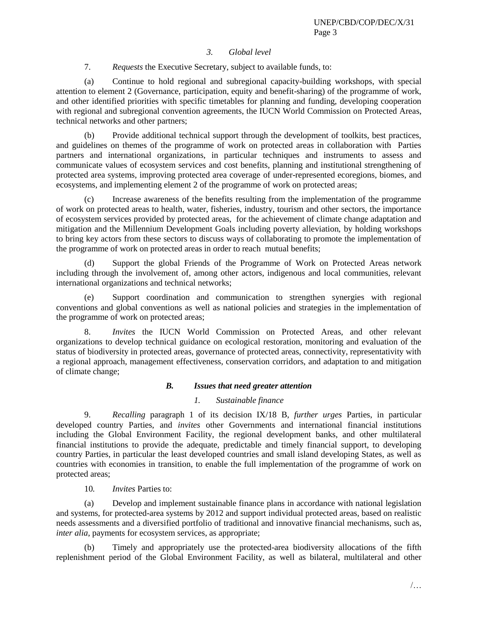# *3. Global level*

7. *Requests* the Executive Secretary, subject to available funds, to:

(a) Continue to hold regional and subregional capacity-building workshops, with special attention to element 2 (Governance, participation, equity and benefit-sharing) of the programme of work, and other identified priorities with specific timetables for planning and funding, developing cooperation with regional and subregional convention agreements, the IUCN World Commission on Protected Areas, technical networks and other partners;

(b) Provide additional technical support through the development of toolkits, best practices, and guidelines on themes of the programme of work on protected areas in collaboration with Parties partners and international organizations, in particular techniques and instruments to assess and communicate values of ecosystem services and cost benefits, planning and institutional strengthening of protected area systems, improving protected area coverage of under-represented ecoregions, biomes, and ecosystems, and implementing element 2 of the programme of work on protected areas;

(c) Increase awareness of the benefits resulting from the implementation of the programme of work on protected areas to health, water, fisheries, industry, tourism and other sectors, the importance of ecosystem services provided by protected areas, for the achievement of climate change adaptation and mitigation and the Millennium Development Goals including poverty alleviation, by holding workshops to bring key actors from these sectors to discuss ways of collaborating to promote the implementation of the programme of work on protected areas in order to reach mutual benefits;

(d) Support the global Friends of the Programme of Work on Protected Areas network including through the involvement of, among other actors, indigenous and local communities, relevant international organizations and technical networks;

(e) Support coordination and communication to strengthen synergies with regional conventions and global conventions as well as national policies and strategies in the implementation of the programme of work on protected areas;

8. *Invites* the IUCN World Commission on Protected Areas, and other relevant organizations to develop technical guidance on ecological restoration, monitoring and evaluation of the status of biodiversity in protected areas, governance of protected areas, connectivity, representativity with a regional approach, management effectiveness, conservation corridors, and adaptation to and mitigation of climate change;

## *B. Issues that need greater attention*

# *1. Sustainable finance*

9. *Recalling* paragraph 1 of its decision IX/18 B, *further urges* Parties, in particular developed country Parties, and *invites* other Governments and international financial institutions including the Global Environment Facility, the regional development banks, and other multilateral financial institutions to provide the adequate, predictable and timely financial support, to developing country Parties, in particular the least developed countries and small island developing States, as well as countries with economies in transition, to enable the full implementation of the programme of work on protected areas;

10*. Invites* Parties to:

(a) Develop and implement sustainable finance plans in accordance with national legislation and systems, for protected-area systems by 2012 and support individual protected areas, based on realistic needs assessments and a diversified portfolio of traditional and innovative financial mechanisms, such as, *inter alia*, payments for ecosystem services, as appropriate;

(b) Timely and appropriately use the protected-area biodiversity allocations of the fifth replenishment period of the Global Environment Facility, as well as bilateral, multilateral and other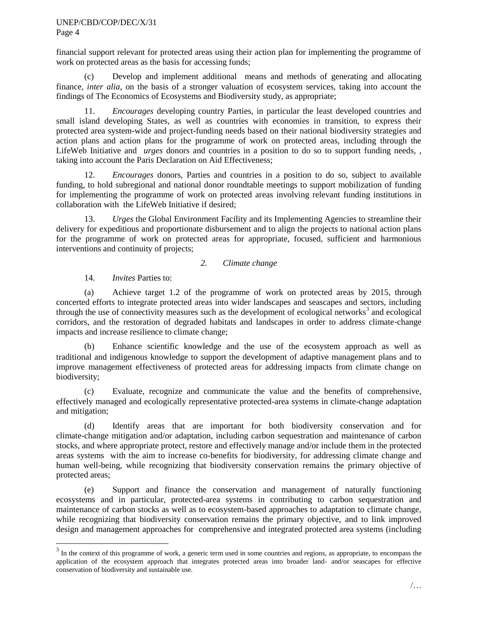### UNEP/CBD/COP/DEC/X/31 Page 4

financial support relevant for protected areas using their action plan for implementing the programme of work on protected areas as the basis for accessing funds;

(c) Develop and implement additional means and methods of generating and allocating finance, *inter alia*, on the basis of a stronger valuation of ecosystem services, taking into account the findings of The Economics of Ecosystems and Biodiversity study, as appropriate;

11. *Encourages* developing country Parties, in particular the least developed countries and small island developing States, as well as countries with economies in transition, to express their protected area system-wide and project-funding needs based on their national biodiversity strategies and action plans and action plans for the programme of work on protected areas, including through the LifeWeb Initiative and *urges* donors and countries in a position to do so to support funding needs, taking into account the Paris Declaration on Aid Effectiveness;

12. *Encourages* donors, Parties and countries in a position to do so, subject to available funding, to hold subregional and national donor roundtable meetings to support mobilization of funding for implementing the programme of work on protected areas involving relevant funding institutions in collaboration with the LifeWeb Initiative if desired;

13. *Urges* the Global Environment Facility and its Implementing Agencies to streamline their delivery for expeditious and proportionate disbursement and to align the projects to national action plans for the programme of work on protected areas for appropriate, focused, sufficient and harmonious interventions and continuity of projects;

# *2. Climate change*

14. *Invites* Parties to:

l

(a) Achieve target 1.2 of the programme of work on protected areas by 2015, through concerted efforts to integrate protected areas into wider landscapes and seascapes and sectors, including through the use of connectivity measures such as the development of ecological networks<sup>3</sup> and ecological corridors, and the restoration of degraded habitats and landscapes in order to address climate-change impacts and increase resilience to climate change;

(b) Enhance scientific knowledge and the use of the ecosystem approach as well as traditional and indigenous knowledge to support the development of adaptive management plans and to improve management effectiveness of protected areas for addressing impacts from climate change on biodiversity;

(c) Evaluate, recognize and communicate the value and the benefits of comprehensive, effectively managed and ecologically representative protected-area systems in climate-change adaptation and mitigation;

(d) Identify areas that are important for both biodiversity conservation and for climate-change mitigation and/or adaptation, including carbon sequestration and maintenance of carbon stocks, and where appropriate protect, restore and effectively manage and/or include them in the protected areas systems with the aim to increase co-benefits for biodiversity, for addressing climate change and human well-being, while recognizing that biodiversity conservation remains the primary objective of protected areas;

(e) Support and finance the conservation and management of naturally functioning ecosystems and in particular, protected-area systems in contributing to carbon sequestration and maintenance of carbon stocks as well as to ecosystem-based approaches to adaptation to climate change, while recognizing that biodiversity conservation remains the primary objective, and to link improved design and management approaches for comprehensive and integrated protected area systems (including

 $3 \text{ In the context of this programme of work, a generic term used in some countries and regions, as appropriate, to encompass the$ application of the ecosystem approach that integrates protected areas into broader land- and/or seascapes for effective conservation of biodiversity and sustainable use.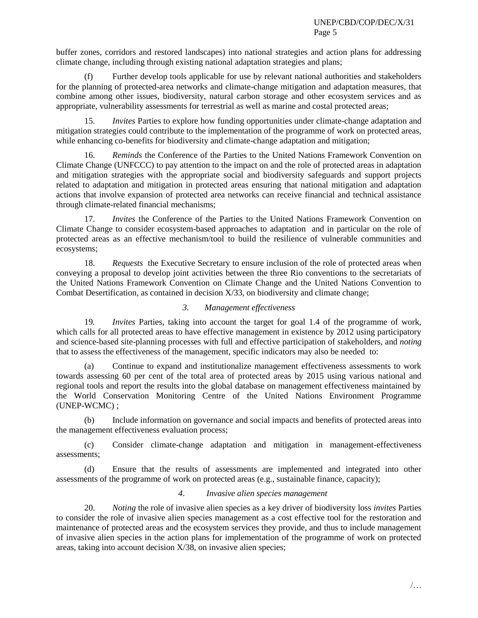buffer zones, corridors and restored landscapes) into national strategies and action plans for addressing climate change, including through existing national adaptation strategies and plans;

Further develop tools applicable for use by relevant national authorities and stakeholders for the planning of protected-area networks and climate-change mitigation and adaptation measures, that combine among other issues, biodiversity, natural carbon storage and other ecosystem services and as appropriate, vulnerability assessments for terrestrial as well as marine and costal protected areas;

15. *Invites* Parties to explore how funding opportunities under climate-change adaptation and mitigation strategies could contribute to the implementation of the programme of work on protected areas, while enhancing co-benefits for biodiversity and climate-change adaptation and mitigation;

16. *Reminds* the Conference of the Parties to the United Nations Framework Convention on Climate Change (UNFCCC) to pay attention to the impact on and the role of protected areas in adaptation and mitigation strategies with the appropriate social and biodiversity safeguards and support projects related to adaptation and mitigation in protected areas ensuring that national mitigation and adaptation actions that involve expansion of protected area networks can receive financial and technical assistance through climate-related financial mechanisms;

17. *Invites* the Conference of the Parties to the United Nations Framework Convention on Climate Change to consider ecosystem-based approaches to adaptation and in particular on the role of protected areas as an effective mechanism/tool to build the resilience of vulnerable communities and ecosystems;

18. *Requests* the Executive Secretary to ensure inclusion of the role of protected areas when conveying a proposal to develop joint activities between the three Rio conventions to the secretariats of the United Nations Framework Convention on Climate Change and the United Nations Convention to Combat Desertification, as contained in decision X/33, on biodiversity and climate change;

# *3. Management effectiveness*

19*. Invites* Parties, taking into account the target for goal 1.4 of the programme of work, which calls for all protected areas to have effective management in existence by 2012 using participatory and science-based site-planning processes with full and effective participation of stakeholders, and *noting* that to assess the effectiveness of the management, specific indicators may also be needed to:

(a) Continue to expand and institutionalize management effectiveness assessments to work towards assessing 60 per cent of the total area of protected areas by 2015 using various national and regional tools and report the results into the global database on management effectiveness maintained by the World Conservation Monitoring Centre of the United Nations Environment Programme (UNEP-WCMC) ;

(b) Include information on governance and social impacts and benefits of protected areas into the management effectiveness evaluation process;

(c) Consider climate-change adaptation and mitigation in management-effectiveness assessments;

(d) Ensure that the results of assessments are implemented and integrated into other assessments of the programme of work on protected areas (e.g., sustainable finance, capacity);

# *4*. *Invasive alien species management*

20. *Noting* the role of invasive alien species as a key driver of biodiversity loss *invites* Parties to consider the role of invasive alien species management as a cost effective tool for the restoration and maintenance of protected areas and the ecosystem services they provide, and thus to include management of invasive alien species in the action plans for implementation of the programme of work on protected areas, taking into account decision X/38, on invasive alien species;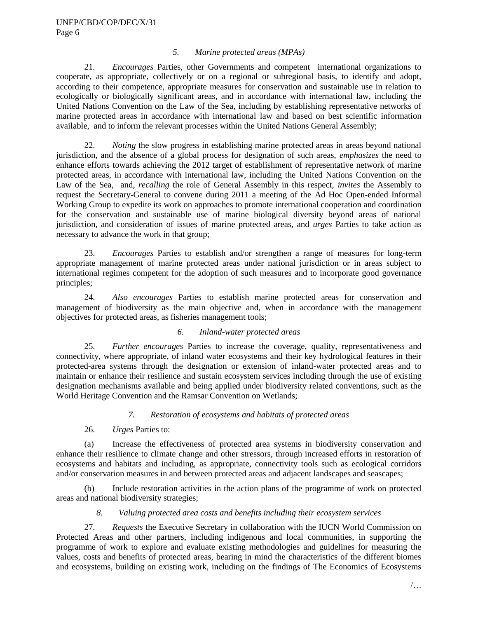## *5. Marine protected areas (MPAs)*

21. *Encourages* Parties, other Governments and competent international organizations to cooperate, as appropriate, collectively or on a regional or subregional basis, to identify and adopt, according to their competence, appropriate measures for conservation and sustainable use in relation to ecologically or biologically significant areas, and in accordance with international law, including the United Nations Convention on the Law of the Sea, including by establishing representative networks of marine protected areas in accordance with international law and based on best scientific information available, and to inform the relevant processes within the United Nations General Assembly;

22. *Noting* the slow progress in establishing marine protected areas in areas beyond national jurisdiction, and the absence of a global process for designation of such areas, *emphasizes* the need to enhance efforts towards achieving the 2012 target of establishment of representative network of marine protected areas, in accordance with international law, including the United Nations Convention on the Law of the Sea, and, *recalling* the role of General Assembly in this respect, *invites* the Assembly to request the Secretary-General to convene during 2011 a meeting of the Ad Hoc Open-ended Informal Working Group to expedite its work on approaches to promote international cooperation and coordination for the conservation and sustainable use of marine biological diversity beyond areas of national jurisdiction, and consideration of issues of marine protected areas, and *urges* Parties to take action as necessary to advance the work in that group;

23. *Encourages* Parties to establish and/or strengthen a range of measures for long-term appropriate management of marine protected areas under national jurisdiction or in areas subject to international regimes competent for the adoption of such measures and to incorporate good governance principles;

24. *Also encourages* Parties to establish marine protected areas for conservation and management of biodiversity as the main objective and, when in accordance with the management objectives for protected areas, as fisheries management tools;

## *6. Inland-water protected areas*

25. *Further encourages* Parties to increase the coverage, quality, representativeness and connectivity, where appropriate, of inland water ecosystems and their key hydrological features in their protected-area systems through the designation or extension of inland-water protected areas and to maintain or enhance their resilience and sustain ecosystem services including through the use of existing designation mechanisms available and being applied under biodiversity related conventions, such as the World Heritage Convention and the Ramsar Convention on Wetlands;

## *7. Restoration of ecosystems and habitats of protected areas*

# 26. *Urges* Parties to:

(a) Increase the effectiveness of protected area systems in biodiversity conservation and enhance their resilience to climate change and other stressors, through increased efforts in restoration of ecosystems and habitats and including, as appropriate, connectivity tools such as ecological corridors and/or conservation measures in and between protected areas and adjacent landscapes and seascapes;

(b) Include restoration activities in the action plans of the programme of work on protected areas and national biodiversity strategies;

## *8. Valuing protected area costs and benefits including their ecosystem services*

27. *Requests* the Executive Secretary in collaboration with the IUCN World Commission on Protected Areas and other partners, including indigenous and local communities, in supporting the programme of work to explore and evaluate existing methodologies and guidelines for measuring the values, costs and benefits of protected areas, bearing in mind the characteristics of the different biomes and ecosystems, building on existing work, including on the findings of The Economics of Ecosystems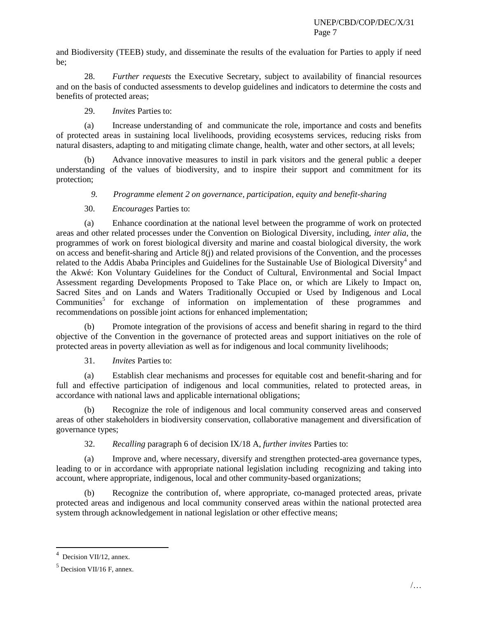and Biodiversity (TEEB) study, and disseminate the results of the evaluation for Parties to apply if need be;

28. *Further requests* the Executive Secretary, subject to availability of financial resources and on the basis of conducted assessments to develop guidelines and indicators to determine the costs and benefits of protected areas;

29. *Invites* Parties to:

(a) Increase understanding of and communicate the role, importance and costs and benefits of protected areas in sustaining local livelihoods, providing ecosystems services, reducing risks from natural disasters, adapting to and mitigating climate change, health, water and other sectors, at all levels;

(b) Advance innovative measures to instil in park visitors and the general public a deeper understanding of the values of biodiversity, and to inspire their support and commitment for its protection;

*9. Programme element 2 on governance, participation, equity and benefit-sharing*

30. *Encourages* Parties to:

(a) Enhance coordination at the national level between the programme of work on protected areas and other related processes under the Convention on Biological Diversity, including, *inter alia*, the programmes of work on forest biological diversity and marine and coastal biological diversity, the work on access and benefit-sharing and Article 8(j) and related provisions of the Convention, and the processes related to the Addis Ababa Principles and Guidelines for the Sustainable Use of Biological Diversity<sup>4</sup> and the Akwé: Kon Voluntary Guidelines for the Conduct of Cultural, Environmental and Social Impact Assessment regarding Developments Proposed to Take Place on, or which are Likely to Impact on, Sacred Sites and on Lands and Waters Traditionally Occupied or Used by Indigenous and Local Communities<sup>5</sup> for exchange of information on implementation of these programmes and recommendations on possible joint actions for enhanced implementation;

(b) Promote integration of the provisions of access and benefit sharing in regard to the third objective of the Convention in the governance of protected areas and support initiatives on the role of protected areas in poverty alleviation as well as for indigenous and local community livelihoods;

31. *Invites* Parties to:

(a) Establish clear mechanisms and processes for equitable cost and benefit-sharing and for full and effective participation of indigenous and local communities, related to protected areas, in accordance with national laws and applicable international obligations;

(b) Recognize the role of indigenous and local community conserved areas and conserved areas of other stakeholders in biodiversity conservation, collaborative management and diversification of governance types;

32. *Recalling* paragraph 6 of decision IX/18 A, *further invites* Parties to:

(a) Improve and, where necessary, diversify and strengthen protected-area governance types, leading to or in accordance with appropriate national legislation including recognizing and taking into account, where appropriate, indigenous, local and other community-based organizations;

(b) Recognize the contribution of, where appropriate, co-managed protected areas, private protected areas and indigenous and local community conserved areas within the national protected area system through acknowledgement in national legislation or other effective means;

l

<sup>4</sup> Decision VII/12, annex.

<sup>&</sup>lt;sup>5</sup> Decision VII/16 F, annex.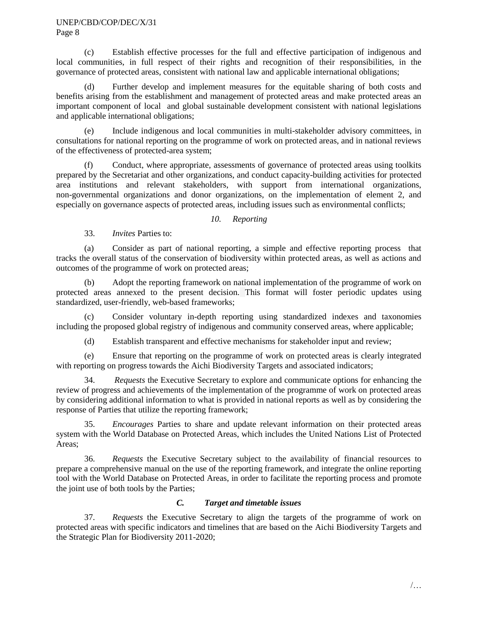(c) Establish effective processes for the full and effective participation of indigenous and local communities, in full respect of their rights and recognition of their responsibilities, in the governance of protected areas, consistent with national law and applicable international obligations;

(d) Further develop and implement measures for the equitable sharing of both costs and benefits arising from the establishment and management of protected areas and make protected areas an important component of local and global sustainable development consistent with national legislations and applicable international obligations;

(e) Include indigenous and local communities in multi-stakeholder advisory committees, in consultations for national reporting on the programme of work on protected areas, and in national reviews of the effectiveness of protected-area system;

(f) Conduct, where appropriate, assessments of governance of protected areas using toolkits prepared by the Secretariat and other organizations, and conduct capacity-building activities for protected area institutions and relevant stakeholders, with support from international organizations, non-governmental organizations and donor organizations, on the implementation of element 2, and especially on governance aspects of protected areas, including issues such as environmental conflicts;

# *10. Reporting*

33. *Invites* Parties to:

(a) Consider as part of national reporting, a simple and effective reporting process that tracks the overall status of the conservation of biodiversity within protected areas, as well as actions and outcomes of the programme of work on protected areas;

(b) Adopt the reporting framework on national implementation of the programme of work on protected areas annexed to the present decision. This format will foster periodic updates using standardized, user-friendly, web-based frameworks;

(c) Consider voluntary in-depth reporting using standardized indexes and taxonomies including the proposed global registry of indigenous and community conserved areas, where applicable;

(d) Establish transparent and effective mechanisms for stakeholder input and review;

(e) Ensure that reporting on the programme of work on protected areas is clearly integrated with reporting on progress towards the Aichi Biodiversity Targets and associated indicators;

34. *Requests* the Executive Secretary to explore and communicate options for enhancing the review of progress and achievements of the implementation of the programme of work on protected areas by considering additional information to what is provided in national reports as well as by considering the response of Parties that utilize the reporting framework;

35. *Encourages* Parties to share and update relevant information on their protected areas system with the World Database on Protected Areas, which includes the United Nations List of Protected Areas;

36. *Requests* the Executive Secretary subject to the availability of financial resources to prepare a comprehensive manual on the use of the reporting framework, and integrate the online reporting tool with the World Database on Protected Areas, in order to facilitate the reporting process and promote the joint use of both tools by the Parties;

## *C. Target and timetable issues*

37. *Requests* the Executive Secretary to align the targets of the programme of work on protected areas with specific indicators and timelines that are based on the Aichi Biodiversity Targets and the Strategic Plan for Biodiversity 2011-2020;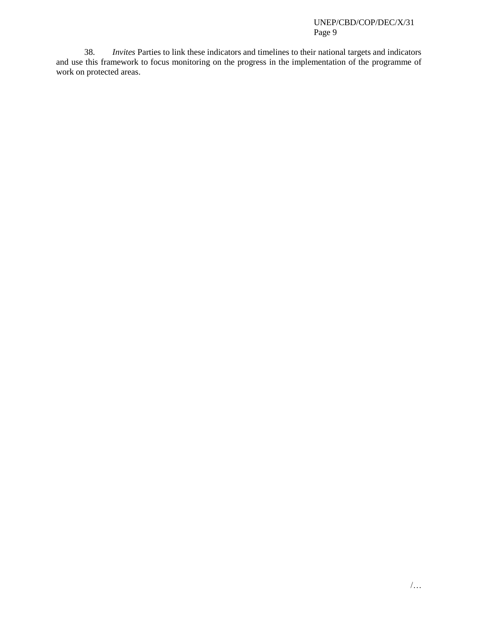38. *Invites* Parties to link these indicators and timelines to their national targets and indicators and use this framework to focus monitoring on the progress in the implementation of the programme of work on protected areas.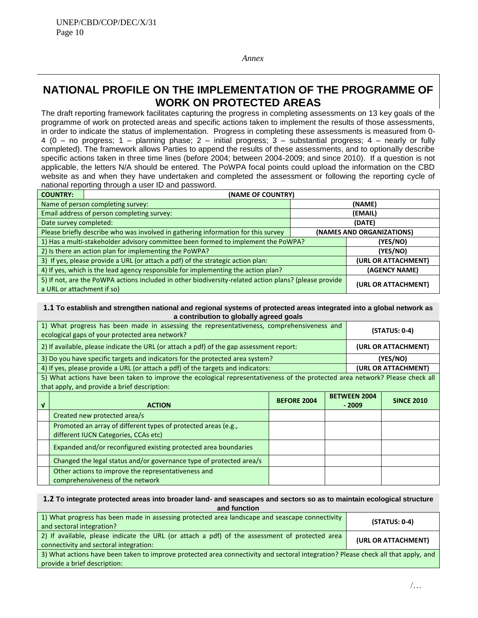*Annex*

# **NATIONAL PROFILE ON THE IMPLEMENTATION OF THE PROGRAMME OF WORK ON PROTECTED AREAS**

The draft reporting framework facilitates capturing the progress in completing assessments on 13 key goals of the programme of work on protected areas and specific actions taken to implement the results of those assessments, in order to indicate the status of implementation. Progress in completing these assessments is measured from 0- 4 (0 – no progress; 1 – planning phase; 2 – initial progress; 3 – substantial progress; 4 – nearly or fully completed). The framework allows Parties to append the results of these assessments, and to optionally describe specific actions taken in three time lines (before 2004; between 2004-2009; and since 2010). If a question is not applicable, the letters N/A should be entered. The PoWPA focal points could upload the information on the CBD website as and when they have undertaken and completed the assessment or following the reporting cycle of national reporting through a user ID and password.

| <b>COUNTRY:</b>                                                                   | (NAME OF COUNTRY)                                                                                     |                     |                           |  |  |
|-----------------------------------------------------------------------------------|-------------------------------------------------------------------------------------------------------|---------------------|---------------------------|--|--|
|                                                                                   | Name of person completing survey:                                                                     |                     | (NAME)                    |  |  |
|                                                                                   | Email address of person completing survey:                                                            |                     | (EMAIL)                   |  |  |
| Date survey completed:                                                            |                                                                                                       |                     | (DATE)                    |  |  |
| Please briefly describe who was involved in gathering information for this survey |                                                                                                       |                     | (NAMES AND ORGANIZATIONS) |  |  |
| 1) Has a multi-stakeholder advisory committee been formed to implement the PoWPA? |                                                                                                       | (YES/NO)            |                           |  |  |
| 2) Is there an action plan for implementing the PoWPA?                            |                                                                                                       | (YES/NO)            |                           |  |  |
| 3) If yes, please provide a URL (or attach a pdf) of the strategic action plan:   |                                                                                                       | (URL OR ATTACHMENT) |                           |  |  |
| 4) If yes, which is the lead agency responsible for implementing the action plan? |                                                                                                       |                     | (AGENCY NAME)             |  |  |
| a URL or attachment if so)                                                        | 5) If not, are the PoWPA actions included in other biodiversity-related action plans? (please provide |                     | (URL OR ATTACHMENT)       |  |  |

#### **1.1 To establish and strengthen national and regional systems of protected areas integrated into a global network as a contribution to globally agreed goals**

| 1) What progress has been made in assessing the representativeness, comprehensiveness and<br>ecological gaps of your protected area network? |                                                                                                                              |                    |  |                                | (STATUS: 0-4)       |
|----------------------------------------------------------------------------------------------------------------------------------------------|------------------------------------------------------------------------------------------------------------------------------|--------------------|--|--------------------------------|---------------------|
|                                                                                                                                              | 2) If available, please indicate the URL (or attach a pdf) of the gap assessment report:                                     |                    |  |                                | (URL OR ATTACHMENT) |
|                                                                                                                                              | 3) Do you have specific targets and indicators for the protected area system?                                                |                    |  |                                | (YES/NO)            |
|                                                                                                                                              | 4) If yes, please provide a URL (or attach a pdf) of the targets and indicators:                                             |                    |  |                                | (URL OR ATTACHMENT) |
|                                                                                                                                              | 5) What actions have been taken to improve the ecological representativeness of the protected area network? Please check all |                    |  |                                |                     |
|                                                                                                                                              | that apply, and provide a brief description:                                                                                 |                    |  |                                |                     |
| V                                                                                                                                            | <b>ACTION</b>                                                                                                                | <b>BEFORE 2004</b> |  | <b>BETWEEN 2004</b><br>$-2009$ | <b>SINCE 2010</b>   |
|                                                                                                                                              | Created new protected area/s                                                                                                 |                    |  |                                |                     |
|                                                                                                                                              | Promoted an array of different types of protected areas (e.g.,<br>different IUCN Categories, CCAs etc)                       |                    |  |                                |                     |
|                                                                                                                                              | Expanded and/or reconfigured existing protected area boundaries                                                              |                    |  |                                |                     |
|                                                                                                                                              | Changed the legal status and/or governance type of protected area/s                                                          |                    |  |                                |                     |
|                                                                                                                                              | Other actions to improve the representativeness and<br>comprehensiveness of the network                                      |                    |  |                                |                     |

#### **1.2 To integrate protected areas into broader land- and seascapes and sectors so as to maintain ecological structure and function**

| 1) What progress has been made in assessing protected area landscape and seascape connectivity<br>and sectoral integration?                                       | $(STATUS: 0-4)$     |
|-------------------------------------------------------------------------------------------------------------------------------------------------------------------|---------------------|
| 2) If available, please indicate the URL (or attach a pdf) of the assessment of protected area<br>connectivity and sectoral integration:                          | (URL OR ATTACHMENT) |
| 3) What actions have been taken to improve protected area connectivity and sectoral integration? Please check all that apply, and<br>provide a brief description: |                     |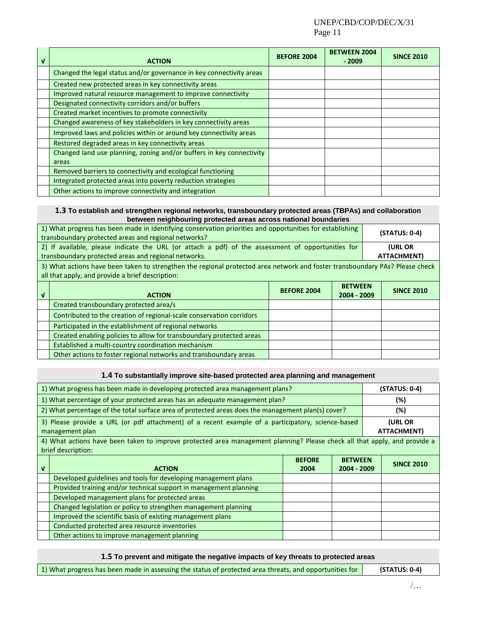### UNEP/CBD/COP/DEC/X/31 Page 11

| $\mathbf{v}$ | <b>ACTION</b>                                                        | <b>BEFORE 2004</b> | <b>BETWEEN 2004</b><br>$-2009$ | <b>SINCE 2010</b> |
|--------------|----------------------------------------------------------------------|--------------------|--------------------------------|-------------------|
|              | Changed the legal status and/or governance in key connectivity areas |                    |                                |                   |
|              | Created new protected areas in key connectivity areas                |                    |                                |                   |
|              | Improved natural resource management to improve connectivity         |                    |                                |                   |
|              | Designated connectivity corridors and/or buffers                     |                    |                                |                   |
|              | Created market incentives to promote connectivity                    |                    |                                |                   |
|              | Changed awareness of key stakeholders in key connectivity areas      |                    |                                |                   |
|              | Improved laws and policies within or around key connectivity areas   |                    |                                |                   |
|              | Restored degraded areas in key connectivity areas                    |                    |                                |                   |
|              | Changed land use planning, zoning and/or buffers in key connectivity |                    |                                |                   |
|              | areas                                                                |                    |                                |                   |
|              | Removed barriers to connectivity and ecological functioning          |                    |                                |                   |
|              | Integrated protected areas into poverty reduction strategies         |                    |                                |                   |
|              | Other actions to improve connectivity and integration                |                    |                                |                   |

#### **1.3 To establish and strengthen regional networks, transboundary protected areas (TBPAs) and collaboration between neighbouring protected areas across national boundaries**

|              | 1) What progress has been made in identifying conservation priorities and opportunities for establishing<br>transboundary protected areas and regional networks?                 |                    | $(STATUS: 0-4)$               |                   |
|--------------|----------------------------------------------------------------------------------------------------------------------------------------------------------------------------------|--------------------|-------------------------------|-------------------|
|              | 2) If available, please indicate the URL (or attach a pdf) of the assessment of opportunities for                                                                                |                    |                               | <b>(URL OR</b>    |
|              | transboundary protected areas and regional networks.                                                                                                                             |                    |                               | ATTACHMENT)       |
|              | 3) What actions have been taken to strengthen the regional protected area network and foster transboundary PAs? Please check<br>all that apply, and provide a brief description: |                    |                               |                   |
| $\mathbf{v}$ | <b>ACTION</b>                                                                                                                                                                    | <b>BEFORE 2004</b> | <b>BETWEEN</b><br>2004 - 2009 | <b>SINCE 2010</b> |
|              | Created transboundary protected area/s                                                                                                                                           |                    |                               |                   |
|              | Contributed to the creation of regional-scale conservation corridors                                                                                                             |                    |                               |                   |
|              | Participated in the establishment of regional networks                                                                                                                           |                    |                               |                   |
|              | Created enabling policies to allow for transboundary protected areas                                                                                                             |                    |                               |                   |
|              | Established a multi-country coordination mechanism                                                                                                                               |                    |                               |                   |
|              | Other actions to foster regional networks and transboundary areas                                                                                                                |                    |                               |                   |

#### **1.4 To substantially improve site-based protected area planning and management**

|                                                                                                                      | 1) What progress has been made in developing protected area management plans?                                                                   |                       |                               | $(STATUS: 0-4)$ |                               |
|----------------------------------------------------------------------------------------------------------------------|-------------------------------------------------------------------------------------------------------------------------------------------------|-----------------------|-------------------------------|-----------------|-------------------------------|
|                                                                                                                      | 1) What percentage of your protected areas has an adequate management plan?                                                                     |                       |                               |                 | (%)                           |
|                                                                                                                      | 2) What percentage of the total surface area of protected areas does the management plan(s) cover?                                              |                       |                               |                 | (%)                           |
| 3) Please provide a URL (or pdf attachment) of a recent example of a participatory, science-based<br>management plan |                                                                                                                                                 |                       |                               |                 | <b>(URL OR</b><br>ATTACHMENT) |
|                                                                                                                      | 4) What actions have been taken to improve protected area management planning? Please check all that apply, and provide a<br>brief description: |                       |                               |                 |                               |
| ν                                                                                                                    | <b>ACTION</b>                                                                                                                                   | <b>BEFORE</b><br>2004 | <b>BETWEEN</b><br>2004 - 2009 |                 | <b>SINCE 2010</b>             |
|                                                                                                                      | Developed guidelines and tools for developing management plans                                                                                  |                       |                               |                 |                               |
|                                                                                                                      | Provided training and/or technical support in management planning                                                                               |                       |                               |                 |                               |
|                                                                                                                      | Developed management plans for protected areas                                                                                                  |                       |                               |                 |                               |
|                                                                                                                      | Changed legislation or policy to strengthen management planning                                                                                 |                       |                               |                 |                               |
|                                                                                                                      | Improved the scientific basis of existing management plans                                                                                      |                       |                               |                 |                               |
|                                                                                                                      | Conducted protected area resource inventories                                                                                                   |                       |                               |                 |                               |
|                                                                                                                      | Other actions to improve management planning                                                                                                    |                       |                               |                 |                               |

**1.5 To prevent and mitigate the negative impacts of key threats to protected areas**

1) What progress has been made in assessing the status of protected area threats, and opportunities for **(STATUS: 0-4)**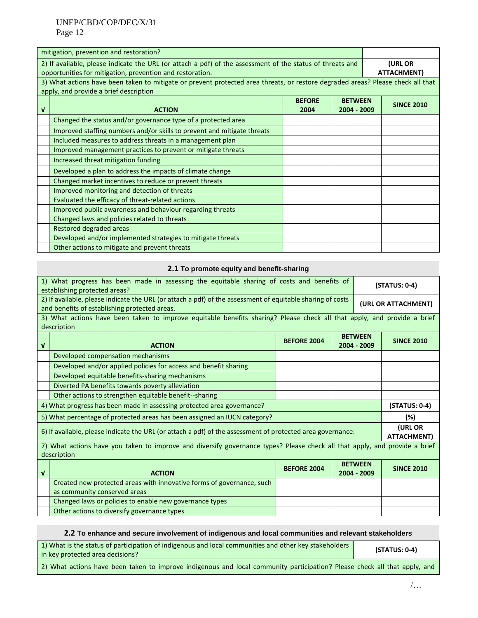|                                                                                                                                                                        | mitigation, prevention and restoration?                                                                                                                                   |                       |                               |  |                        |
|------------------------------------------------------------------------------------------------------------------------------------------------------------------------|---------------------------------------------------------------------------------------------------------------------------------------------------------------------------|-----------------------|-------------------------------|--|------------------------|
| 2) If available, please indicate the URL (or attach a pdf) of the assessment of the status of threats and<br>opportunities for mitigation, prevention and restoration. |                                                                                                                                                                           |                       |                               |  | (URL OR<br>ATTACHMENT) |
|                                                                                                                                                                        | 3) What actions have been taken to mitigate or prevent protected area threats, or restore degraded areas? Please check all that<br>apply, and provide a brief description |                       |                               |  |                        |
| V                                                                                                                                                                      | <b>ACTION</b>                                                                                                                                                             | <b>BEFORE</b><br>2004 | <b>BETWEEN</b><br>2004 - 2009 |  | <b>SINCE 2010</b>      |
|                                                                                                                                                                        | Changed the status and/or governance type of a protected area                                                                                                             |                       |                               |  |                        |
|                                                                                                                                                                        | Improved staffing numbers and/or skills to prevent and mitigate threats                                                                                                   |                       |                               |  |                        |
|                                                                                                                                                                        | Included measures to address threats in a management plan                                                                                                                 |                       |                               |  |                        |
|                                                                                                                                                                        | Improved management practices to prevent or mitigate threats                                                                                                              |                       |                               |  |                        |
|                                                                                                                                                                        | Increased threat mitigation funding                                                                                                                                       |                       |                               |  |                        |
|                                                                                                                                                                        | Developed a plan to address the impacts of climate change                                                                                                                 |                       |                               |  |                        |
|                                                                                                                                                                        | Changed market incentives to reduce or prevent threats                                                                                                                    |                       |                               |  |                        |
|                                                                                                                                                                        | Improved monitoring and detection of threats                                                                                                                              |                       |                               |  |                        |
|                                                                                                                                                                        | Evaluated the efficacy of threat-related actions                                                                                                                          |                       |                               |  |                        |
|                                                                                                                                                                        | Improved public awareness and behaviour regarding threats                                                                                                                 |                       |                               |  |                        |
|                                                                                                                                                                        | Changed laws and policies related to threats                                                                                                                              |                       |                               |  |                        |
|                                                                                                                                                                        | Restored degraded areas                                                                                                                                                   |                       |                               |  |                        |
|                                                                                                                                                                        | Developed and/or implemented strategies to mitigate threats                                                                                                               |                       |                               |  |                        |
|                                                                                                                                                                        | Other actions to mitigate and prevent threats                                                                                                                             |                       |                               |  |                        |

#### **2.1 To promote equity and benefit-sharing**

|                                                                                                                                                             | 1) What progress has been made in assessing the equitable sharing of costs and benefits of<br>establishing protected areas?               |                    |  | $(STATUS: 0-4)$               |                               |
|-------------------------------------------------------------------------------------------------------------------------------------------------------------|-------------------------------------------------------------------------------------------------------------------------------------------|--------------------|--|-------------------------------|-------------------------------|
| 2) If available, please indicate the URL (or attach a pdf) of the assessment of equitable sharing of costs<br>and benefits of establishing protected areas. |                                                                                                                                           |                    |  |                               | (URL OR ATTACHMENT)           |
|                                                                                                                                                             | 3) What actions have been taken to improve equitable benefits sharing? Please check all that apply, and provide a brief<br>description    |                    |  |                               |                               |
| $\mathbf{v}$                                                                                                                                                | <b>ACTION</b>                                                                                                                             | <b>BEFORE 2004</b> |  | <b>BETWEEN</b><br>2004 - 2009 | <b>SINCE 2010</b>             |
|                                                                                                                                                             | Developed compensation mechanisms                                                                                                         |                    |  |                               |                               |
|                                                                                                                                                             | Developed and/or applied policies for access and benefit sharing                                                                          |                    |  |                               |                               |
|                                                                                                                                                             | Developed equitable benefits-sharing mechanisms                                                                                           |                    |  |                               |                               |
|                                                                                                                                                             | Diverted PA benefits towards poverty alleviation                                                                                          |                    |  |                               |                               |
|                                                                                                                                                             | Other actions to strengthen equitable benefit--sharing                                                                                    |                    |  |                               |                               |
|                                                                                                                                                             | 4) What progress has been made in assessing protected area governance?                                                                    |                    |  |                               | $(STATUS: 0-4)$               |
|                                                                                                                                                             | 5) What percentage of protected areas has been assigned an IUCN category?                                                                 |                    |  |                               | (%)                           |
|                                                                                                                                                             | 6) If available, please indicate the URL (or attach a pdf) of the assessment of protected area governance:                                |                    |  |                               | <b>(URL OR</b><br>ATTACHMENT) |
|                                                                                                                                                             | 7) What actions have you taken to improve and diversify governance types? Please check all that apply, and provide a brief<br>description |                    |  |                               |                               |
| $\mathbf{v}$                                                                                                                                                | <b>ACTION</b>                                                                                                                             | <b>BEFORE 2004</b> |  | <b>BETWEEN</b><br>2004 - 2009 | <b>SINCE 2010</b>             |
|                                                                                                                                                             | Created new protected areas with innovative forms of governance, such                                                                     |                    |  |                               |                               |
|                                                                                                                                                             | as community conserved areas                                                                                                              |                    |  |                               |                               |
|                                                                                                                                                             | Changed laws or policies to enable new governance types                                                                                   |                    |  |                               |                               |
|                                                                                                                                                             | Other actions to diversify governance types                                                                                               |                    |  |                               |                               |

# **2.2 To enhance and secure involvement of indigenous and local communities and relevant stakeholders**

| 1) What is the status of participation of indigenous and local communities and other key stakeholders<br>in key protected area decisions? | (STATUS: 0-4) |
|-------------------------------------------------------------------------------------------------------------------------------------------|---------------|
|                                                                                                                                           |               |

2) What actions have been taken to improve indigenous and local community participation? Please check all that apply, and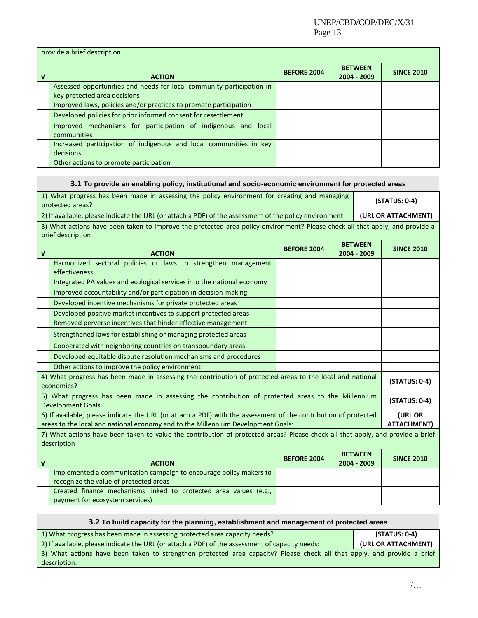provide a brief description: **<sup>√</sup> ACTION BEFORE 2004 BETWEEN 2004 - <sup>2009</sup> SINCE 2010** Assessed opportunities and needs for local community participation in key protected area decisions Improved laws, policies and/or practices to promote participation Developed policies for prior informed consent for resettlement Improved mechanisms for participation of indigenous and local communities Increased participation of indigenous and local communities in key decisions Other actions to promote participation

#### **3.1 To provide an enabling policy, institutional and socio-economic environment for protected areas**

| 1) What progress has been made in assessing the policy environment for creating and managing<br>protected areas? |                                                                                                                                                                                                     |                    |  |                               | (STATUS: 0-4)                 |
|------------------------------------------------------------------------------------------------------------------|-----------------------------------------------------------------------------------------------------------------------------------------------------------------------------------------------------|--------------------|--|-------------------------------|-------------------------------|
| 2) If available, please indicate the URL (or attach a PDF) of the assessment of the policy environment:          |                                                                                                                                                                                                     |                    |  |                               | (URL OR ATTACHMENT)           |
|                                                                                                                  | 3) What actions have been taken to improve the protected area policy environment? Please check all that apply, and provide a<br>brief description                                                   |                    |  |                               |                               |
| $\mathbf{V}$                                                                                                     | <b>ACTION</b>                                                                                                                                                                                       | <b>BEFORE 2004</b> |  | <b>BETWEEN</b><br>2004 - 2009 | <b>SINCE 2010</b>             |
|                                                                                                                  | Harmonized sectoral policies or laws to strengthen management<br>effectiveness                                                                                                                      |                    |  |                               |                               |
|                                                                                                                  | Integrated PA values and ecological services into the national economy                                                                                                                              |                    |  |                               |                               |
|                                                                                                                  | Improved accountability and/or participation in decision-making                                                                                                                                     |                    |  |                               |                               |
|                                                                                                                  | Developed incentive mechanisms for private protected areas                                                                                                                                          |                    |  |                               |                               |
|                                                                                                                  | Developed positive market incentives to support protected areas                                                                                                                                     |                    |  |                               |                               |
|                                                                                                                  | Removed perverse incentives that hinder effective management                                                                                                                                        |                    |  |                               |                               |
|                                                                                                                  | Strengthened laws for establishing or managing protected areas                                                                                                                                      |                    |  |                               |                               |
|                                                                                                                  | Cooperated with neighboring countries on transboundary areas                                                                                                                                        |                    |  |                               |                               |
|                                                                                                                  | Developed equitable dispute resolution mechanisms and procedures                                                                                                                                    |                    |  |                               |                               |
|                                                                                                                  | Other actions to improve the policy environment                                                                                                                                                     |                    |  |                               |                               |
|                                                                                                                  | 4) What progress has been made in assessing the contribution of protected areas to the local and national<br>economies?                                                                             |                    |  |                               | (STATUS: 0-4)                 |
|                                                                                                                  | 5) What progress has been made in assessing the contribution of protected areas to the Millennium<br><b>Development Goals?</b>                                                                      |                    |  |                               | (STATUS: 0-4)                 |
|                                                                                                                  | 6) If available, please indicate the URL (or attach a PDF) with the assessment of the contribution of protected<br>areas to the local and national economy and to the Millennium Development Goals: |                    |  |                               | (URL OR<br><b>ATTACHMENT)</b> |
|                                                                                                                  | 7) What actions have been taken to value the contribution of protected areas? Please check all that apply, and provide a brief<br>description                                                       |                    |  |                               |                               |
| $\mathbf{v}$                                                                                                     | <b>ACTION</b>                                                                                                                                                                                       | <b>BEFORE 2004</b> |  | <b>BETWEEN</b><br>2004 - 2009 | <b>SINCE 2010</b>             |
|                                                                                                                  | Implemented a communication campaign to encourage policy makers to<br>recognize the value of protected areas                                                                                        |                    |  |                               |                               |
|                                                                                                                  | Created finance mechanisms linked to protected area values (e.g.,<br>payment for ecosystem services)                                                                                                |                    |  |                               |                               |

#### **3.2 To build capacity for the planning, establishment and management of protected areas**

| 1) What progress has been made in assessing protected area capacity needs?                                              | $(STATUS: 0-4)$     |
|-------------------------------------------------------------------------------------------------------------------------|---------------------|
| 2) If available, please indicate the URL (or attach a PDF) of the assessment of capacity needs:                         | (URL OR ATTACHMENT) |
| 3) What actions have been taken to strengthen protected area capacity? Please check all that apply, and provide a brief |                     |
| description:                                                                                                            |                     |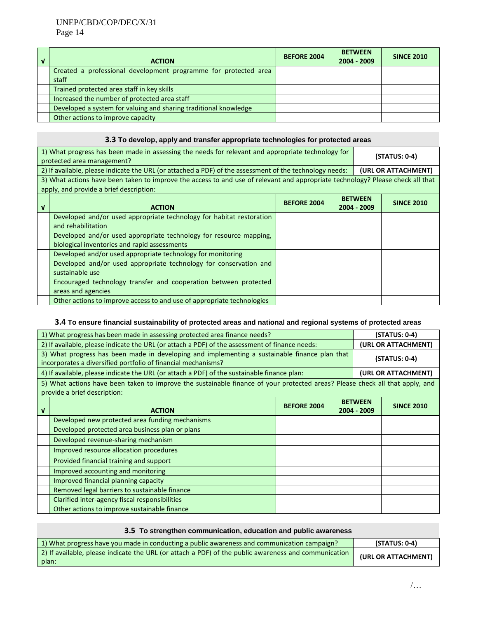| <b>ACTION</b>                                                    | <b>BEFORE 2004</b> | <b>BETWEEN</b><br>2004 - 2009 | <b>SINCE 2010</b> |
|------------------------------------------------------------------|--------------------|-------------------------------|-------------------|
| Created a professional development programme for protected area  |                    |                               |                   |
| staff                                                            |                    |                               |                   |
| Trained protected area staff in key skills                       |                    |                               |                   |
| Increased the number of protected area staff                     |                    |                               |                   |
| Developed a system for valuing and sharing traditional knowledge |                    |                               |                   |
| Other actions to improve capacity                                |                    |                               |                   |

# **3.3 To develop, apply and transfer appropriate technologies for protected areas**

| 1) What progress has been made in assessing the needs for relevant and appropriate technology for<br>protected area management? |                                                                                                                                                                           |  | (STATUS: 0-4) |  |                     |
|---------------------------------------------------------------------------------------------------------------------------------|---------------------------------------------------------------------------------------------------------------------------------------------------------------------------|--|---------------|--|---------------------|
|                                                                                                                                 | 2) If available, please indicate the URL (or attached a PDF) of the assessment of the technology needs:                                                                   |  |               |  | (URL OR ATTACHMENT) |
|                                                                                                                                 | 3) What actions have been taken to improve the access to and use of relevant and appropriate technology? Please check all that<br>apply, and provide a brief description: |  |               |  |                     |
| V                                                                                                                               | <b>BETWEEN</b><br><b>BEFORE 2004</b><br>2004 - 2009<br><b>ACTION</b>                                                                                                      |  |               |  | <b>SINCE 2010</b>   |
|                                                                                                                                 | Developed and/or used appropriate technology for habitat restoration<br>and rehabilitation                                                                                |  |               |  |                     |
|                                                                                                                                 | Developed and/or used appropriate technology for resource mapping,<br>biological inventories and rapid assessments                                                        |  |               |  |                     |
|                                                                                                                                 | Developed and/or used appropriate technology for monitoring                                                                                                               |  |               |  |                     |
|                                                                                                                                 | Developed and/or used appropriate technology for conservation and<br>sustainable use                                                                                      |  |               |  |                     |
|                                                                                                                                 | Encouraged technology transfer and cooperation between protected<br>areas and agencies                                                                                    |  |               |  |                     |
|                                                                                                                                 | Other actions to improve access to and use of appropriate technologies                                                                                                    |  |               |  |                     |

# **3.4 To ensure financial sustainability of protected areas and national and regional systems of protected areas**

| 1) What progress has been made in assessing protected area finance needs?                                                                                      |                                                                                                                                                              |                    |                 | $(STATUS: 0-4)$               |                     |  |
|----------------------------------------------------------------------------------------------------------------------------------------------------------------|--------------------------------------------------------------------------------------------------------------------------------------------------------------|--------------------|-----------------|-------------------------------|---------------------|--|
| 2) If available, please indicate the URL (or attach a PDF) of the assessment of finance needs:                                                                 |                                                                                                                                                              |                    |                 |                               | (URL OR ATTACHMENT) |  |
| 3) What progress has been made in developing and implementing a sustainable finance plan that<br>incorporates a diversified portfolio of financial mechanisms? |                                                                                                                                                              |                    | $(STATUS: 0-4)$ |                               |                     |  |
|                                                                                                                                                                | 4) If available, please indicate the URL (or attach a PDF) of the sustainable finance plan:                                                                  |                    |                 | (URL OR ATTACHMENT)           |                     |  |
|                                                                                                                                                                | 5) What actions have been taken to improve the sustainable finance of your protected areas? Please check all that apply, and<br>provide a brief description: |                    |                 |                               |                     |  |
| V                                                                                                                                                              | <b>ACTION</b>                                                                                                                                                | <b>BEFORE 2004</b> |                 | <b>BETWEEN</b><br>2004 - 2009 | <b>SINCE 2010</b>   |  |
|                                                                                                                                                                | Developed new protected area funding mechanisms                                                                                                              |                    |                 |                               |                     |  |
|                                                                                                                                                                | Developed protected area business plan or plans                                                                                                              |                    |                 |                               |                     |  |
|                                                                                                                                                                | Developed revenue-sharing mechanism                                                                                                                          |                    |                 |                               |                     |  |
|                                                                                                                                                                | Improved resource allocation procedures                                                                                                                      |                    |                 |                               |                     |  |
|                                                                                                                                                                | Provided financial training and support                                                                                                                      |                    |                 |                               |                     |  |
|                                                                                                                                                                | Improved accounting and monitoring                                                                                                                           |                    |                 |                               |                     |  |
|                                                                                                                                                                | Improved financial planning capacity                                                                                                                         |                    |                 |                               |                     |  |
|                                                                                                                                                                | Removed legal barriers to sustainable finance                                                                                                                |                    |                 |                               |                     |  |
|                                                                                                                                                                | Clarified inter-agency fiscal responsibilities                                                                                                               |                    |                 |                               |                     |  |
|                                                                                                                                                                | Other actions to improve sustainable finance                                                                                                                 |                    |                 |                               |                     |  |

| 3.5 To strengthen communication, education and public awareness                                               |                     |
|---------------------------------------------------------------------------------------------------------------|---------------------|
| 1) What progress have you made in conducting a public awareness and communication campaign?                   | $(STATUS: 0-4)$     |
| 2) If available, please indicate the URL (or attach a PDF) of the public awareness and communication<br>plan: | (URL OR ATTACHMENT) |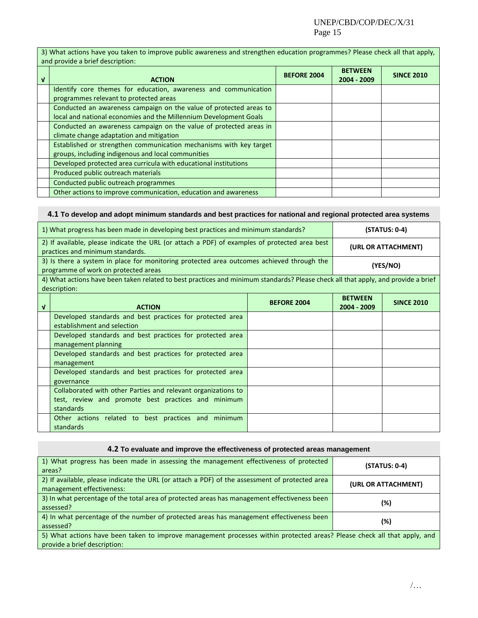3) What actions have you taken to improve public awareness and strengthen education programmes? Please check all that apply, and provide a brief description:

| $\mathbf{v}$ | <b>ACTION</b>                                                      | <b>BEFORE 2004</b> | <b>BETWEEN</b><br>2004 - 2009 | <b>SINCE 2010</b> |
|--------------|--------------------------------------------------------------------|--------------------|-------------------------------|-------------------|
|              | Identify core themes for education, awareness and communication    |                    |                               |                   |
|              | programmes relevant to protected areas                             |                    |                               |                   |
|              | Conducted an awareness campaign on the value of protected areas to |                    |                               |                   |
|              | local and national economies and the Millennium Development Goals  |                    |                               |                   |
|              | Conducted an awareness campaign on the value of protected areas in |                    |                               |                   |
|              | climate change adaptation and mitigation                           |                    |                               |                   |
|              | Established or strengthen communication mechanisms with key target |                    |                               |                   |
|              | groups, including indigenous and local communities                 |                    |                               |                   |
|              | Developed protected area curricula with educational institutions   |                    |                               |                   |
|              | Produced public outreach materials                                 |                    |                               |                   |
|              | Conducted public outreach programmes                               |                    |                               |                   |
|              | Other actions to improve communication, education and awareness    |                    |                               |                   |

## **4.1 To develop and adopt minimum standards and best practices for national and regional protected area systems**

| 1) What progress has been made in developing best practices and minimum standards?                                                |                                                                                                                                   | $(STATUS: 0-4)$     |                |                   |
|-----------------------------------------------------------------------------------------------------------------------------------|-----------------------------------------------------------------------------------------------------------------------------------|---------------------|----------------|-------------------|
| 2) If available, please indicate the URL (or attach a PDF) of examples of protected area best<br>practices and minimum standards. |                                                                                                                                   | (URL OR ATTACHMENT) |                |                   |
| 3) Is there a system in place for monitoring protected area outcomes achieved through the<br>programme of work on protected areas |                                                                                                                                   |                     | (YES/NO)       |                   |
|                                                                                                                                   | 4) What actions have been taken related to best practices and minimum standards? Please check all that apply, and provide a brief |                     |                |                   |
|                                                                                                                                   | description:                                                                                                                      |                     | <b>BETWEEN</b> |                   |
| v                                                                                                                                 | <b>ACTION</b>                                                                                                                     | <b>BEFORE 2004</b>  | 2004 - 2009    | <b>SINCE 2010</b> |
|                                                                                                                                   | Developed standards and best practices for protected area                                                                         |                     |                |                   |
|                                                                                                                                   | establishment and selection                                                                                                       |                     |                |                   |
|                                                                                                                                   | Developed standards and best practices for protected area                                                                         |                     |                |                   |
|                                                                                                                                   | management planning                                                                                                               |                     |                |                   |
|                                                                                                                                   | Developed standards and best practices for protected area                                                                         |                     |                |                   |
|                                                                                                                                   | management                                                                                                                        |                     |                |                   |
|                                                                                                                                   | Developed standards and best practices for protected area                                                                         |                     |                |                   |
|                                                                                                                                   | governance                                                                                                                        |                     |                |                   |
|                                                                                                                                   | Collaborated with other Parties and relevant organizations to                                                                     |                     |                |                   |
|                                                                                                                                   | test, review and promote best practices and minimum                                                                               |                     |                |                   |
|                                                                                                                                   | standards                                                                                                                         |                     |                |                   |
|                                                                                                                                   | Other actions related to best practices and minimum                                                                               |                     |                |                   |
|                                                                                                                                   | standards                                                                                                                         |                     |                |                   |

| 4.2 To evaluate and improve the effectiveness of protected areas management                                                                              |                     |  |  |  |
|----------------------------------------------------------------------------------------------------------------------------------------------------------|---------------------|--|--|--|
| 1) What progress has been made in assessing the management effectiveness of protected<br>areas?                                                          | $(STATUS: 0-4)$     |  |  |  |
| 2) If available, please indicate the URL (or attach a PDF) of the assessment of protected area<br>management effectiveness:                              | (URL OR ATTACHMENT) |  |  |  |
| 3) In what percentage of the total area of protected areas has management effectiveness been<br>assessed?                                                | (%)                 |  |  |  |
| 4) In what percentage of the number of protected areas has management effectiveness been<br>assessed?                                                    | $(\%)$              |  |  |  |
| 5) What actions have been taken to improve management processes within protected areas? Please check all that apply, and<br>provide a brief description: |                     |  |  |  |